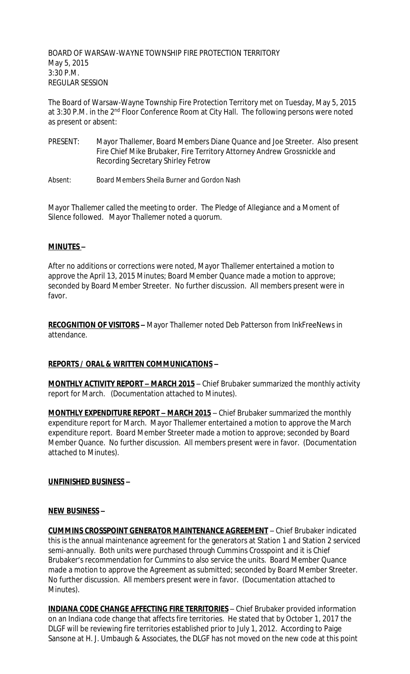BOARD OF WARSAW-WAYNE TOWNSHIP FIRE PROTECTION TERRITORY May 5, 2015 3:30 P.M. REGULAR SESSION

The Board of Warsaw-Wayne Township Fire Protection Territory met on Tuesday, May 5, 2015 at 3:30 P.M. in the 2<sup>nd</sup> Floor Conference Room at City Hall. The following persons were noted as present or absent:

- PRESENT: Mayor Thallemer, Board Members Diane Quance and Joe Streeter. Also present Fire Chief Mike Brubaker, Fire Territory Attorney Andrew Grossnickle and Recording Secretary Shirley Fetrow
- Absent: Board Members Sheila Burner and Gordon Nash

Mayor Thallemer called the meeting to order. The Pledge of Allegiance and a Moment of Silence followed. Mayor Thallemer noted a quorum.

## **MINUTES –**

After no additions or corrections were noted, Mayor Thallemer entertained a motion to approve the April 13, 2015 Minutes; Board Member Quance made a motion to approve; seconded by Board Member Streeter. No further discussion. All members present were in favor.

**RECOGNITION OF VISITORS –** Mayor Thallemer noted Deb Patterson from InkFreeNews in attendance.

## **REPORTS / ORAL & WRITTEN COMMUNICATIONS –**

**MONTHLY ACTIVITY REPORT – MARCH 2015** – Chief Brubaker summarized the monthly activity report for March. (Documentation attached to Minutes).

**MONTHLY EXPENDITURE REPORT – MARCH 2015** – Chief Brubaker summarized the monthly expenditure report for March. Mayor Thallemer entertained a motion to approve the March expenditure report. Board Member Streeter made a motion to approve; seconded by Board Member Quance. No further discussion. All members present were in favor. (Documentation attached to Minutes).

## **UNFINISHED BUSINESS –**

#### **NEW BUSINESS –**

**CUMMINS CROSSPOINT GENERATOR MAINTENANCE AGREEMENT** – Chief Brubaker indicated this is the annual maintenance agreement for the generators at Station 1 and Station 2 serviced semi-annually. Both units were purchased through Cummins Crosspoint and it is Chief Brubaker's recommendation for Cummins to also service the units. Board Member Quance made a motion to approve the Agreement as submitted; seconded by Board Member Streeter. No further discussion. All members present were in favor. (Documentation attached to Minutes).

**INDIANA CODE CHANGE AFFECTING FIRE TERRITORIES** – Chief Brubaker provided information on an Indiana code change that affects fire territories. He stated that by October 1, 2017 the DLGF will be reviewing fire territories established prior to July 1, 2012. According to Paige Sansone at H. J. Umbaugh & Associates, the DLGF has not moved on the new code at this point